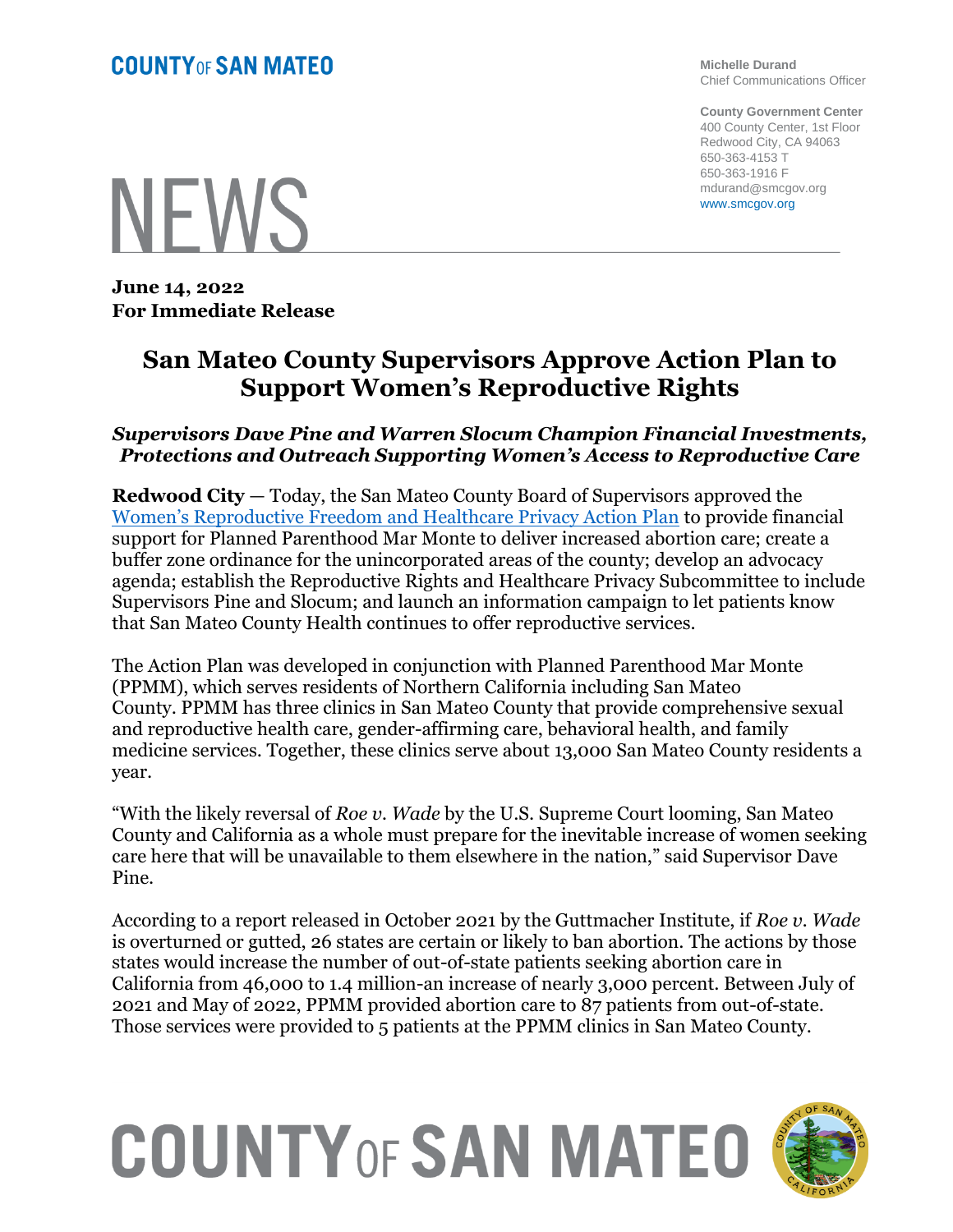**Michelle Durand** Chief Communications Officer

**County Government Center** 400 County Center, 1st Floor Redwood City, CA 94063 650-363-4153 T 650-363-1916 F mdurand@smcgov.org www.smcgov.org

**NEWS** 

**June 14, 2022 For Immediate Release**

## **San Mateo County Supervisors Approve Action Plan to Support Women's Reproductive Rights**

## *Supervisors Dave Pine and Warren Slocum Champion Financial Investments, Protections and Outreach Supporting Women's Access to Reproductive Care*

**Redwood City** — Today, the San Mateo County Board of Supervisors approved the [Women's Reproductive Freedom and Healthcare Privacy Action Plan](https://sanmateocounty.legistar.com/LegislationDetail.aspx?ID=5691256&GUID=B54AE225-E596-446A-BA36-29B5541EB7CF&FullText=1) to provide financial support for Planned Parenthood Mar Monte to deliver increased abortion care; create a buffer zone ordinance for the unincorporated areas of the county; develop an advocacy agenda; establish the Reproductive Rights and Healthcare Privacy Subcommittee to include Supervisors Pine and Slocum; and launch an information campaign to let patients know that San Mateo County Health continues to offer reproductive services.

The Action Plan was developed in conjunction with Planned Parenthood Mar Monte (PPMM), which serves residents of Northern California including San Mateo County. PPMM has three clinics in San Mateo County that provide comprehensive sexual and reproductive health care, gender-affirming care, behavioral health, and family medicine services. Together, these clinics serve about 13,000 San Mateo County residents a year.

"With the likely reversal of *Roe v. Wade* by the U.S. Supreme Court looming, San Mateo County and California as a whole must prepare for the inevitable increase of women seeking care here that will be unavailable to them elsewhere in the nation," said Supervisor Dave Pine.

According to a report released in October 2021 by the Guttmacher Institute, if *Roe v. Wade*  is overturned or gutted, 26 states are certain or likely to ban abortion. The actions by those states would increase the number of out-of-state patients seeking abortion care in California from 46,000 to 1.4 million-an increase of nearly 3,000 percent. Between July of 2021 and May of 2022, PPMM provided abortion care to 87 patients from out-of-state. Those services were provided to 5 patients at the PPMM clinics in San Mateo County.

## **COUNTY OF SAN MATEO**